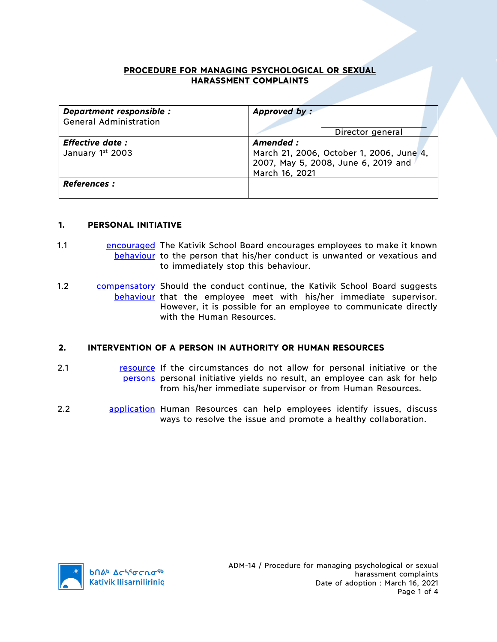## **PROCEDURE FOR MANAGING PSYCHOLOGICAL OR SEXUAL HARASSMENT COMPLAINTS**

| Department responsible :<br><b>General Administration</b> | Approved by:                                                                                                  |
|-----------------------------------------------------------|---------------------------------------------------------------------------------------------------------------|
|                                                           | Director general                                                                                              |
| <b>Effective date:</b><br>January 1st 2003                | Amended:<br>March 21, 2006, October 1, 2006, June 4,<br>2007, May 5, 2008, June 6, 2019 and<br>March 16, 2021 |
| <b>References :</b>                                       |                                                                                                               |

### **1. PERSONAL INITIATIVE**

- 1.1 **Encouraged The Kativik School Board encourages employees to make it known** behaviour to the person that his/her conduct is unwanted or vexatious and to immediately stop this behaviour.
- 1.2 compensatory Should the conduct continue, the Kativik School Board suggests behaviour that the employee meet with his/her immediate supervisor. However, it is possible for an employee to communicate directly with the Human Resources.

### **2. INTERVENTION OF A PERSON IN AUTHORITY OR HUMAN RESOURCES**

- 2.1 **resource** If the circumstances do not allow for personal initiative or the persons personal initiative yields no result, an employee can ask for help from his/her immediate supervisor or from Human Resources.
- 2.2 application Human Resources can help employees identify issues, discuss ways to resolve the issue and promote a healthy collaboration.

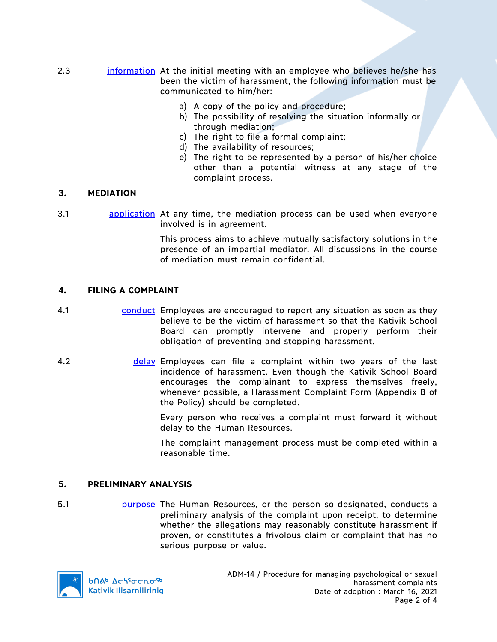- 2.3 information At the initial meeting with an employee who believes he/she has been the victim of harassment, the following information must be communicated to him/her:
	- a) A copy of the policy and procedure;
	- b) The possibility of resolving the situation informally or through mediation;
	- c) The right to file a formal complaint;
	- d) The availability of resources;
	- e) The right to be represented by a person of his/her choice other than a potential witness at any stage of the complaint process.

# **3. MEDIATION**

3.1 application At any time, the mediation process can be used when everyone involved is in agreement.

> This process aims to achieve mutually satisfactory solutions in the presence of an impartial mediator. All discussions in the course of mediation must remain confidential.

# **4. FILING A COMPLAINT**

- 4.1 conduct Employees are encouraged to report any situation as soon as they believe to be the victim of harassment so that the Kativik School Board can promptly intervene and properly perform their obligation of preventing and stopping harassment.
- 4.2 delay Employees can file a complaint within two years of the last incidence of harassment. Even though the Kativik School Board encourages the complainant to express themselves freely, whenever possible, a Harassment Complaint Form (Appendix B of the Policy) should be completed.

Every person who receives a complaint must forward it without delay to the Human Resources.

The complaint management process must be completed within a reasonable time.

### **5. PRELIMINARY ANALYSIS**

5.1 **purpose** The Human Resources, or the person so designated, conducts a preliminary analysis of the complaint upon receipt, to determine whether the allegations may reasonably constitute harassment if proven, or constitutes a frivolous claim or complaint that has no serious purpose or value.

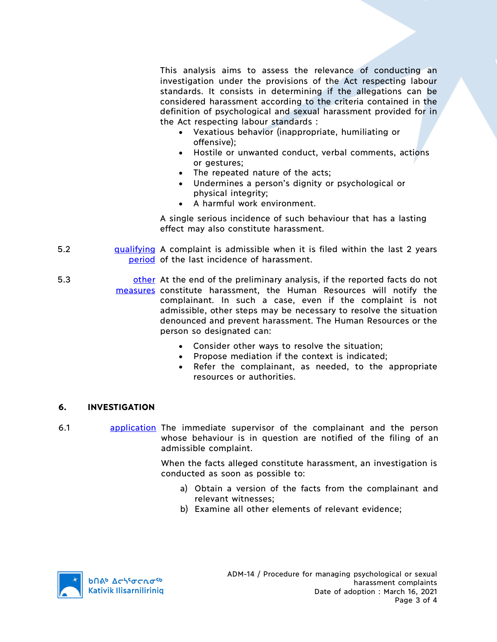This analysis aims to assess the relevance of conducting an investigation under the provisions of the Act respecting labour standards. It consists in determining if the allegations can be considered harassment according to the criteria contained in the definition of psychological and sexual harassment provided for in the Act respecting labour standards :

- Vexatious behavior (inappropriate, humiliating or offensive);
- Hostile or unwanted conduct, verbal comments, actions or gestures;
- The repeated nature of the acts;
- Undermines a person's dignity or psychological or physical integrity;
- A harmful work environment.

A single serious incidence of such behaviour that has a lasting effect may also constitute harassment.

- 5.2 **qualifying** A complaint is admissible when it is filed within the last 2 years period of the last incidence of harassment.
- 5.3 **butcher and of the preliminary analysis, if the reported facts do not** measures constitute harassment, the Human Resources will notify the complainant. In such a case, even if the complaint is not admissible, other steps may be necessary to resolve the situation denounced and prevent harassment. The Human Resources or the person so designated can:
	- Consider other ways to resolve the situation;
	- Propose mediation if the context is indicated;
	- Refer the complainant, as needed, to the appropriate resources or authorities.

# **6. INVESTIGATION**

6.1 application The immediate supervisor of the complainant and the person whose behaviour is in question are notified of the filing of an admissible complaint.

> When the facts alleged constitute harassment, an investigation is conducted as soon as possible to:

- a) Obtain a version of the facts from the complainant and relevant witnesses;
- b) Examine all other elements of relevant evidence;



**b** *Δε*λίσερσ<sup>ς</sup> **Kativik Ilisarniliriniq**